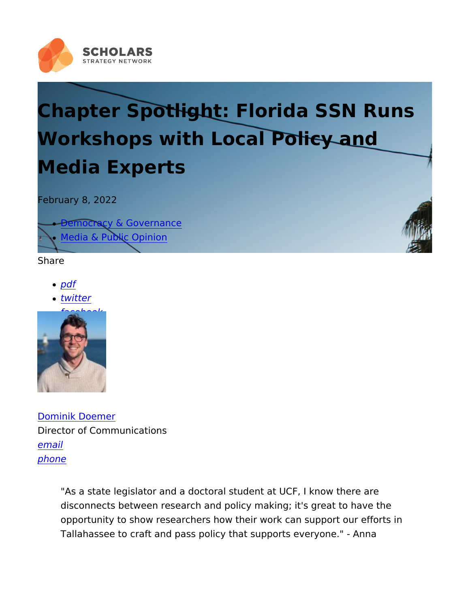## Chapter Spotlight: Florida SSN R Workshops with Local Policy and Media Experts

February 8, 2022

- [Democracy & Gove](https://scholars.org/policy-fields/democracy-governance)rnance
- [Media & Public O](https://scholars.org/policy-fields/media-public-opinion)pinion

Share

- [pd](https://scholars.org/print/pdf/node/22621)f
- [twitt](https://twitter.com/intent/tweet?text=Chapter+Spotlight:+Florida+SSN+Runs+Workshops+with+Local+Policy+and+Media+Experts https://scholars.org/features/chapter-spotlight-florida-ssn-runs-workshops-local)er
- [facebo](https://www.facebook.com/sharer/sharer.php?u=https://scholars.org/features/chapter-spotlight-florida-ssn-runs-workshops-local)ok

[Dominik Doe](https://scholars.org/staff/dominik-doemer)mer Director of Communications [ema](mailto:dominik@scholarsstrategynetwork.org)il [phon](tel:617-301-2107)e

> "As a state legislator and a doctoral student at UCF, I know th disconnects between research and policy making; it's great to opportunity to show researchers how their work can support of Tallahassee to craft and pass policy that supports everyone."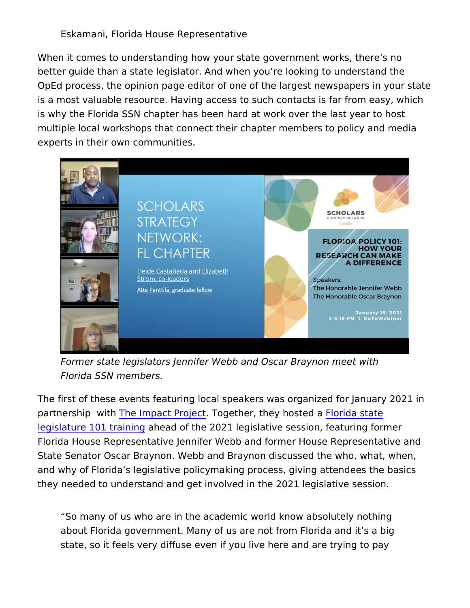Eskamani, Florida House Representative

When it comes to understanding how your state government works better guide than a state legislator. And when you re looking to u OpEd process, the opinion page editor of one of the largest news is a most valuable resource. Having access to such contacts is fa is why the Florida SSN chapter has been hard at work over the la multiple local workshops that connect their chapter members to p experts in their own communities.

Former state legislators Jennifer Webb and Oscar Braynon me Florida SSN members.

The first of these events featuring local speakers was organized partnership Twhith Impact Projectether, they hofsloved da state [legislature 101 t](https://www.youtube.com/watch?v=H4fuj_uCcOk)ranime and of the 2021 legislative session, featuring Florida House Representative Jennifer Webb and former House Re State Senator Oscar Braynon. Webb and Braynon discussed the w and why of Florida s legislative policymaking process, giving atte they needed to understand and get involved in the 2021 legislativ

So many of us who are in the academic world know absolutely about Florida government. Many of us are not from Florida and state, so it feels very diffuse even if you live here and are try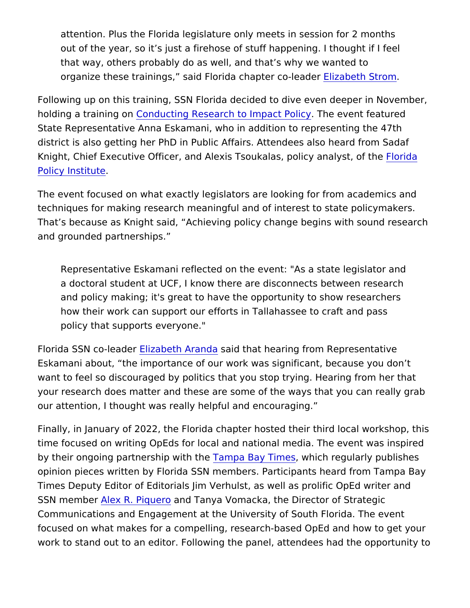attention. Plus the Florida legislature only meets in session f out of the year, so it s just a firehose of stuff happening. I th that way, others probably do as well, and that s why we wante organize these trainings, said Florida chapted the Sterader response to the set of the set of  $\mathbf s$ 

Following up on this training, SSN Florida decided to dive even d holding a traini@ gnoducting Research to Impachte Peovie on featured State Representative Anna Eskamani, who in addition to represen district is also getting her PhD in Public Affairs. Attendees also Knight, Chief Executive Officer, and Alexis TsoukalasFloroiday ana [Policy Inst](https://www.floridapolicy.org/)itute .

The event focused on what exactly legislators are looking for from techniques for making research meaningful and of interest to stat That s because as Knight said, Achieving policy change begins w and grounded partnerships.

Representative Eskamani reflected "OAns tan esteaw **e**n the gislator and a doctoral student at UCF, I know there are disconnects betwe and policy making; it's great to have the opportunity to show how their work can support our efforts in Tallahassee to craft policy that supports everyone."

Florida SSN co-Ediazdadureth Arasmadid that hearing from Representative Eskamani about, the importance of our work was significant, bec want to feel so discouraged by politics that you stop trying. Hear your research does matter and these are some of the ways that you our attention, I thought was really helpful and encouraging.

Finally, in January of 2022, the Florida chapter hosted their third time focused on writing OpEds for local and national media. The by their ongoing partnershipamida Bhaey Timwehsich regularly publishes opinion pieces written by Florida SSN members. Participants hear Times Deputy Editor of Editorials Jim Verhulst, as well as prolific SSN membelex R. Piquando Tanya Vomacka, the Director of Strategi Communications and Engagement at the University of South Florid focused on what makes for a compelling, research-based OpEd an work to stand out to an editor. Following the panel, attendees had